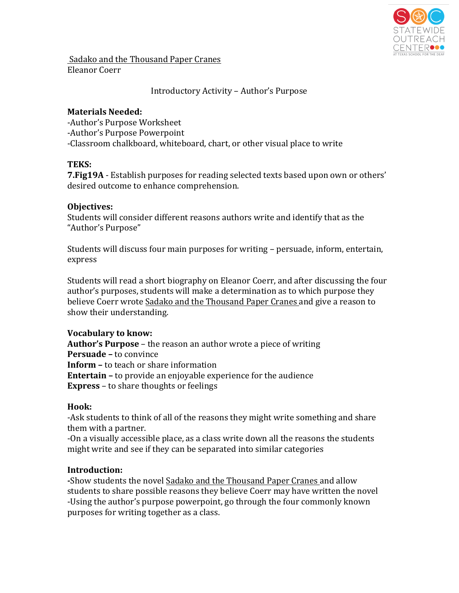

Sadako and the Thousand Paper Cranes Eleanor Coerr

## Introductory Activity – Author's Purpose

#### **Materials Needed:**

-Author's Purpose Worksheet -Author's Purpose Powerpoint -Classroom chalkboard, whiteboard, chart, or other visual place to write

### **TEKS:**

**7. Fig19A** - Establish purposes for reading selected texts based upon own or others' desired outcome to enhance comprehension.

### **Objectives:**

Students will consider different reasons authors write and identify that as the "Author's Purpose"

Students will discuss four main purposes for writing – persuade, inform, entertain, express

Students will read a short biography on Eleanor Coerr, and after discussing the four author's purposes, students will make a determination as to which purpose they believe Coerr wrote Sadako and the Thousand Paper Cranes and give a reason to show their understanding.

# **Vocabulary to know:**

**Author's Purpose** – the reason an author wrote a piece of writing **Persuade** – to convince **Inform** – to teach or share information **Entertain** – to provide an enjoyable experience for the audience **Express** – to share thoughts or feelings

# **Hook:**

-Ask students to think of all of the reasons they might write something and share them with a partner.

-On a visually accessible place, as a class write down all the reasons the students might write and see if they can be separated into similar categories

# **Introduction:**

-Show students the novel Sadako and the Thousand Paper Cranes and allow students to share possible reasons they believe Coerr may have written the novel -Using the author's purpose powerpoint, go through the four commonly known purposes for writing together as a class.